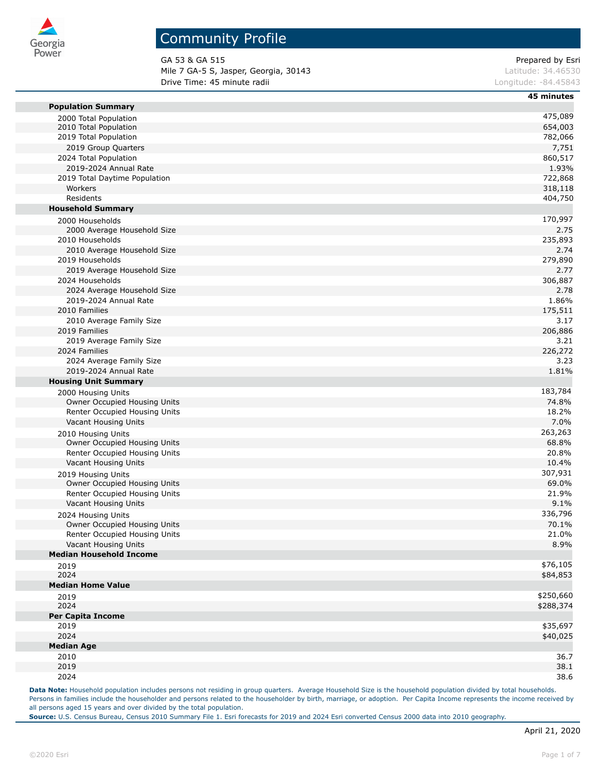

# Community Profile

GA 53 & GA 515 Prepared by Esri Mile 7 GA-5 S, Jasper, Georgia, 30143 **Latitude: 34.46530** Latitude: 34.46530 **Drive Time: 45 minute radii Longitude: -84.45843** Longitude: -84.45843

|                                           | 45 minutes      |
|-------------------------------------------|-----------------|
| <b>Population Summary</b>                 |                 |
| 2000 Total Population                     | 475,089         |
| 2010 Total Population                     | 654,003         |
| 2019 Total Population                     | 782,066         |
| 2019 Group Quarters                       | 7,751           |
| 2024 Total Population                     | 860,517         |
| 2019-2024 Annual Rate                     | 1.93%           |
| 2019 Total Daytime Population             | 722,868         |
| Workers                                   | 318,118         |
| Residents                                 | 404,750         |
| <b>Household Summary</b>                  |                 |
| 2000 Households                           | 170,997         |
| 2000 Average Household Size               | 2.75            |
| 2010 Households                           | 235,893         |
| 2010 Average Household Size               | 2.74            |
| 2019 Households                           | 279,890         |
| 2019 Average Household Size               | 2.77            |
| 2024 Households                           | 306,887         |
| 2024 Average Household Size               | 2.78            |
| 2019-2024 Annual Rate                     | 1.86%           |
| 2010 Families                             | 175,511         |
| 2010 Average Family Size                  | 3.17            |
| 2019 Families<br>2019 Average Family Size | 206,886<br>3.21 |
| 2024 Families                             | 226,272         |
| 2024 Average Family Size                  | 3.23            |
| 2019-2024 Annual Rate                     | 1.81%           |
| <b>Housing Unit Summary</b>               |                 |
| 2000 Housing Units                        | 183,784         |
| Owner Occupied Housing Units              | 74.8%           |
| Renter Occupied Housing Units             | 18.2%           |
| Vacant Housing Units                      | 7.0%            |
| 2010 Housing Units                        | 263,263         |
| Owner Occupied Housing Units              | 68.8%           |
| Renter Occupied Housing Units             | 20.8%           |
| Vacant Housing Units                      | 10.4%           |
| 2019 Housing Units                        | 307,931         |
| Owner Occupied Housing Units              | 69.0%           |
| Renter Occupied Housing Units             | 21.9%           |
| Vacant Housing Units                      | 9.1%            |
| 2024 Housing Units                        | 336,796         |
| <b>Owner Occupied Housing Units</b>       | 70.1%           |
| Renter Occupied Housing Units             | 21.0%           |
| Vacant Housing Units                      | 8.9%            |
| <b>Median Household Income</b>            |                 |
| 2019                                      | \$76,105        |
| 2024                                      | \$84,853        |
| <b>Median Home Value</b>                  |                 |
| 2019                                      | \$250,660       |
| 2024                                      | \$288,374       |
| <b>Per Capita Income</b>                  |                 |
| 2019                                      | \$35,697        |
| 2024                                      | \$40,025        |
| <b>Median Age</b>                         |                 |
| 2010                                      | 36.7            |
| 2019                                      | 38.1            |
| 2024                                      | 38.6            |

Data Note: Household population includes persons not residing in group quarters. Average Household Size is the household population divided by total households. Persons in families include the householder and persons related to the householder by birth, marriage, or adoption. Per Capita Income represents the income received by all persons aged 15 years and over divided by the total population.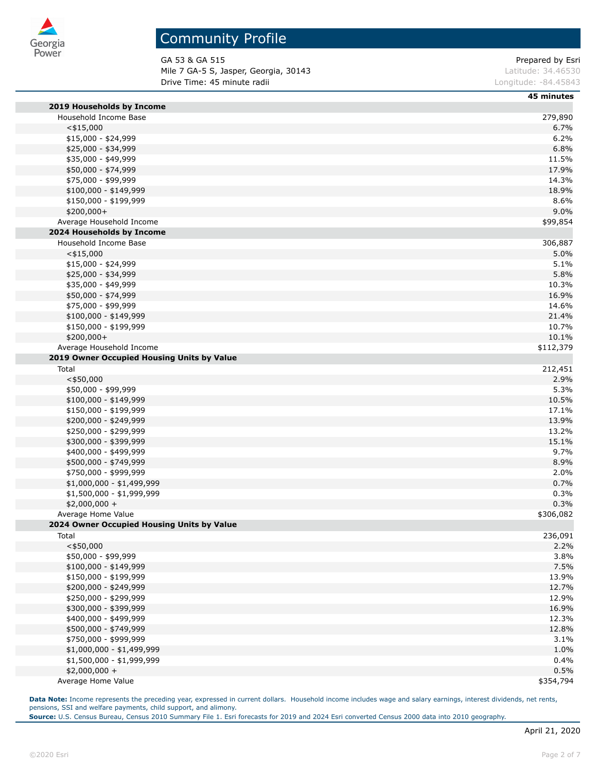

GA 53 & GA 515 Prepared by Esri Mile 7 GA-5 S, Jasper, Georgia, 30143 **Latitude: 34.46530** Latitude: 34.46530 **Drive Time: 45 minute radii Longitude: -84.45843** Longitude: -84.45843

|                                            | 45 minutes |
|--------------------------------------------|------------|
| 2019 Households by Income                  |            |
| Household Income Base                      | 279,890    |
| $<$ \$15,000                               | 6.7%       |
| \$15,000 - \$24,999                        | 6.2%       |
| \$25,000 - \$34,999                        | 6.8%       |
| \$35,000 - \$49,999                        | 11.5%      |
| \$50,000 - \$74,999                        | 17.9%      |
| \$75,000 - \$99,999                        | 14.3%      |
| $$100,000 - $149,999$                      | 18.9%      |
| \$150,000 - \$199,999                      | 8.6%       |
| \$200,000+                                 | 9.0%       |
| Average Household Income                   | \$99,854   |
| 2024 Households by Income                  |            |
| Household Income Base                      | 306,887    |
| $<$ \$15,000                               | 5.0%       |
| $$15,000 - $24,999$                        | 5.1%       |
| \$25,000 - \$34,999                        | 5.8%       |
| \$35,000 - \$49,999                        | 10.3%      |
| \$50,000 - \$74,999                        | 16.9%      |
| \$75,000 - \$99,999                        | 14.6%      |
| $$100,000 - $149,999$                      | 21.4%      |
| \$150,000 - \$199,999                      | 10.7%      |
| \$200,000+                                 | 10.1%      |
| Average Household Income                   | \$112,379  |
| 2019 Owner Occupied Housing Units by Value |            |
| Total                                      | 212,451    |
| $<$ \$50,000                               | 2.9%       |
| \$50,000 - \$99,999                        | 5.3%       |
| \$100,000 - \$149,999                      | 10.5%      |
| \$150,000 - \$199,999                      | 17.1%      |
| \$200,000 - \$249,999                      | 13.9%      |
| \$250,000 - \$299,999                      | 13.2%      |
| \$300,000 - \$399,999                      | 15.1%      |
| \$400,000 - \$499,999                      | 9.7%       |
| \$500,000 - \$749,999                      | 8.9%       |
| \$750,000 - \$999,999                      | 2.0%       |
| \$1,000,000 - \$1,499,999                  | 0.7%       |
| \$1,500,000 - \$1,999,999                  | 0.3%       |
| $$2,000,000 +$                             | 0.3%       |
| Average Home Value                         | \$306,082  |
| 2024 Owner Occupied Housing Units by Value |            |
| Total                                      | 236,091    |
| $<$ \$50,000                               | 2.2%       |
| \$50,000 - \$99,999                        | 3.8%       |
| \$100,000 - \$149,999                      | 7.5%       |
| \$150,000 - \$199,999                      | 13.9%      |
| \$200,000 - \$249,999                      | 12.7%      |
| \$250,000 - \$299,999                      | 12.9%      |
| \$300,000 - \$399,999                      | 16.9%      |
| \$400,000 - \$499,999                      | 12.3%      |
| \$500,000 - \$749,999                      | 12.8%      |
| \$750,000 - \$999,999                      | 3.1%       |
| \$1,000,000 - \$1,499,999                  | 1.0%       |
| \$1,500,000 - \$1,999,999                  | 0.4%       |
| $$2,000,000 +$                             | 0.5%       |
| Average Home Value                         | \$354,794  |

Data Note: Income represents the preceding year, expressed in current dollars. Household income includes wage and salary earnings, interest dividends, net rents, pensions, SSI and welfare payments, child support, and alimony.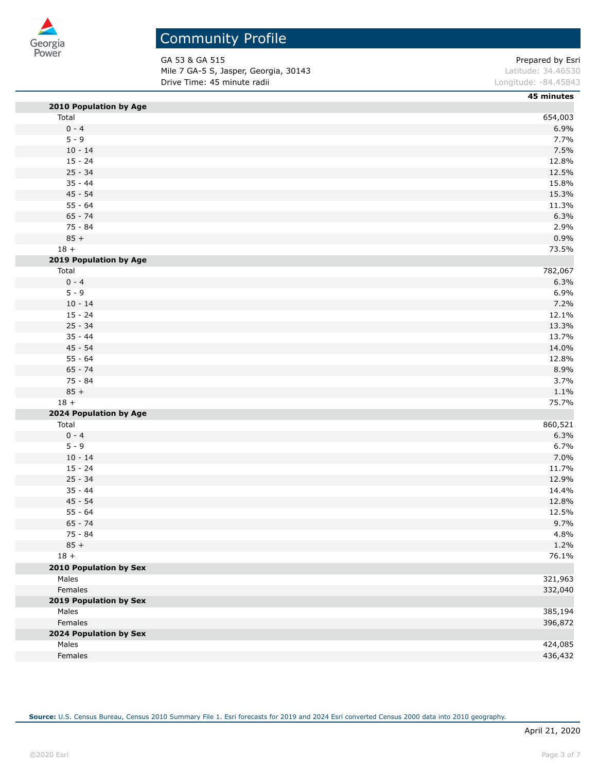

GA 53 & GA 515 Prepared by Esri Mile 7 GA-5 S, Jasper, Georgia, 30143 **Latitude: 34.46530** Latitude: 34.46530 **Drive Time: 45 minute radii Longitude: -84.45843 Longitude: -84.45843** 

|                        | 45 minutes |
|------------------------|------------|
| 2010 Population by Age |            |
| Total                  | 654,003    |
| $0 - 4$                | 6.9%       |
| $5 - 9$                | 7.7%       |
| $10 - 14$              | 7.5%       |
| $15 - 24$              | 12.8%      |
| $25 - 34$              | 12.5%      |
| $35 - 44$              | 15.8%      |
| $45 - 54$              | 15.3%      |
| $55 - 64$              | 11.3%      |
| $65 - 74$              | 6.3%       |
| $75 - 84$              | 2.9%       |
| $85 +$                 | 0.9%       |
| $18 +$                 | 73.5%      |
| 2019 Population by Age |            |
| Total                  | 782,067    |
| $0 - 4$                | 6.3%       |
| $5 - 9$                | 6.9%       |
| $10 - 14$              | 7.2%       |
| $15 - 24$              | 12.1%      |
| $25 - 34$              | 13.3%      |
| $35 - 44$              | 13.7%      |
| $45 - 54$              | 14.0%      |
| $55 - 64$              | 12.8%      |
| $65 - 74$              | 8.9%       |
| $75 - 84$              | 3.7%       |
| $85 +$                 | 1.1%       |
| $18 +$                 | 75.7%      |
| 2024 Population by Age |            |
| Total                  | 860,521    |
| $0 - 4$                | 6.3%       |
| $5 - 9$                | 6.7%       |
| $10 - 14$              | 7.0%       |
| $15 - 24$              | 11.7%      |
| $25 - 34$              | 12.9%      |
| $35 - 44$              | 14.4%      |
| $45 - 54$              | 12.8%      |
| $55 - 64$              | 12.5%      |
| $65 - 74$              | 9.7%       |
| 75 - 84                | 4.8%       |
| $85 +$                 | 1.2%       |
| $18 +$                 | 76.1%      |
| 2010 Population by Sex |            |
| Males                  | 321,963    |
| Females                | 332,040    |
| 2019 Population by Sex |            |
| Males                  | 385,194    |
| Females                | 396,872    |
| 2024 Population by Sex |            |
| Males                  | 424,085    |
| Females                | 436,432    |
|                        |            |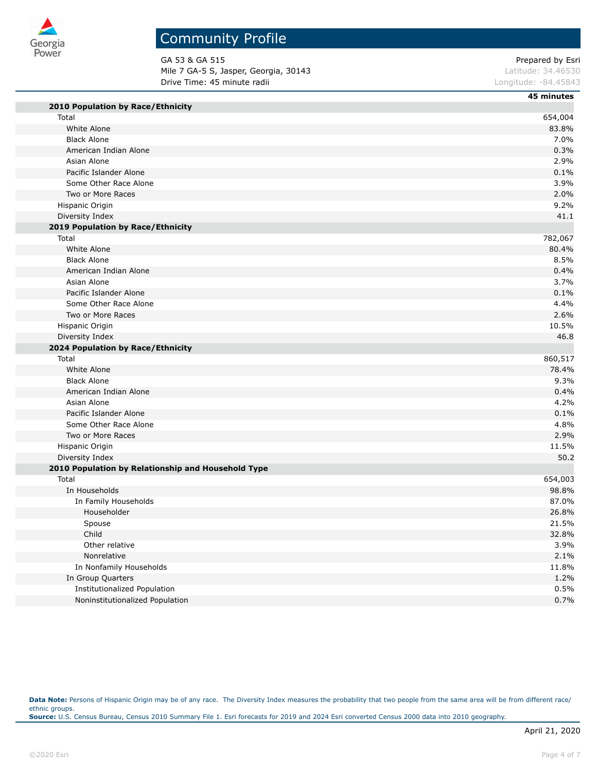

# Community Profile

GA 53 & GA 515 Prepared by Esri Mile 7 GA-5 S, Jasper, Georgia, 30143 **Latitude: 34.46530** Latitude: 34.46530 **Drive Time: 45 minute radii Longitude: -84.45843** Longitude: -84.45843

|                                                    | 45 minutes |
|----------------------------------------------------|------------|
| 2010 Population by Race/Ethnicity                  |            |
| Total                                              | 654,004    |
| White Alone                                        | 83.8%      |
| <b>Black Alone</b>                                 | 7.0%       |
| American Indian Alone                              | 0.3%       |
| Asian Alone                                        | 2.9%       |
| Pacific Islander Alone                             | 0.1%       |
| Some Other Race Alone                              | 3.9%       |
| Two or More Races                                  | 2.0%       |
| Hispanic Origin                                    | 9.2%       |
| Diversity Index                                    | 41.1       |
| 2019 Population by Race/Ethnicity                  |            |
| Total                                              | 782,067    |
| White Alone                                        | 80.4%      |
| <b>Black Alone</b>                                 | 8.5%       |
| American Indian Alone                              | 0.4%       |
| Asian Alone                                        | 3.7%       |
| Pacific Islander Alone                             | 0.1%       |
| Some Other Race Alone                              | 4.4%       |
| Two or More Races                                  | 2.6%       |
| Hispanic Origin                                    | 10.5%      |
| Diversity Index                                    | 46.8       |
| 2024 Population by Race/Ethnicity                  |            |
| Total                                              | 860,517    |
| White Alone                                        | 78.4%      |
| <b>Black Alone</b>                                 | 9.3%       |
| American Indian Alone                              | 0.4%       |
| Asian Alone                                        | 4.2%       |
| Pacific Islander Alone                             | 0.1%       |
| Some Other Race Alone                              | 4.8%       |
| Two or More Races                                  | 2.9%       |
| Hispanic Origin                                    | 11.5%      |
| Diversity Index                                    | 50.2       |
| 2010 Population by Relationship and Household Type |            |
| Total                                              | 654,003    |
| In Households                                      | 98.8%      |
| In Family Households                               | 87.0%      |
| Householder                                        | 26.8%      |
| Spouse                                             | 21.5%      |
| Child                                              | 32.8%      |
| Other relative                                     | 3.9%       |
| Nonrelative                                        | 2.1%       |
| In Nonfamily Households                            | 11.8%      |
| In Group Quarters                                  | 1.2%       |
| <b>Institutionalized Population</b>                | 0.5%       |
| Noninstitutionalized Population                    | 0.7%       |

Data Note: Persons of Hispanic Origin may be of any race. The Diversity Index measures the probability that two people from the same area will be from different race/ ethnic groups. **Source:** U.S. Census Bureau, Census 2010 Summary File 1. Esri forecasts for 2019 and 2024 Esri converted Census 2000 data into 2010 geography.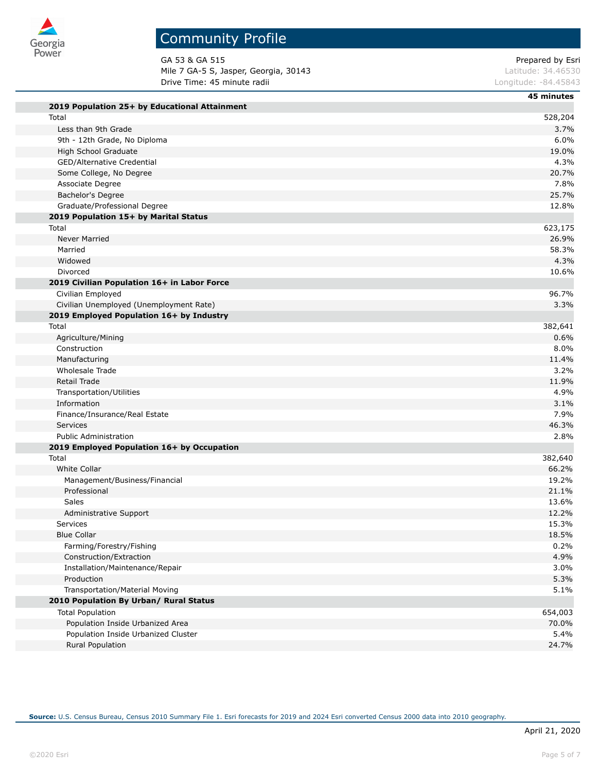

GA 53 & GA 515 Prepared by Esri Mile 7 GA-5 S, Jasper, Georgia, 30143 **Latitude: 34.46530** Latitude: 34.46530 **Drive Time: 45 minute radii Longitude: -84.45843** Longitude: -84.45843

|                                               | 45 minutes |
|-----------------------------------------------|------------|
| 2019 Population 25+ by Educational Attainment |            |
| Total                                         | 528,204    |
| Less than 9th Grade                           | 3.7%       |
| 9th - 12th Grade, No Diploma                  | 6.0%       |
| High School Graduate                          | 19.0%      |
| GED/Alternative Credential                    | 4.3%       |
| Some College, No Degree                       | 20.7%      |
| Associate Degree                              | 7.8%       |
| Bachelor's Degree                             | 25.7%      |
| Graduate/Professional Degree                  | 12.8%      |
| 2019 Population 15+ by Marital Status         |            |
| Total                                         | 623,175    |
| <b>Never Married</b>                          | 26.9%      |
| Married                                       | 58.3%      |
| Widowed                                       | 4.3%       |
| Divorced                                      | 10.6%      |
| 2019 Civilian Population 16+ in Labor Force   |            |
| Civilian Employed                             | 96.7%      |
| Civilian Unemployed (Unemployment Rate)       | 3.3%       |
| 2019 Employed Population 16+ by Industry      |            |
| Total                                         | 382,641    |
| Agriculture/Mining                            | 0.6%       |
| Construction                                  | 8.0%       |
| Manufacturing                                 | 11.4%      |
| Wholesale Trade                               | 3.2%       |
| Retail Trade                                  | 11.9%      |
| Transportation/Utilities                      | 4.9%       |
| Information                                   | 3.1%       |
| Finance/Insurance/Real Estate                 | 7.9%       |
| <b>Services</b>                               | 46.3%      |
| <b>Public Administration</b>                  | 2.8%       |
| 2019 Employed Population 16+ by Occupation    |            |
| Total                                         | 382,640    |
| <b>White Collar</b>                           | 66.2%      |
| Management/Business/Financial                 | 19.2%      |
| Professional                                  | 21.1%      |
| Sales                                         | 13.6%      |
| Administrative Support                        | 12.2%      |
| <b>Services</b>                               | 15.3%      |
| <b>Blue Collar</b>                            | 18.5%      |
| Farming/Forestry/Fishing                      | 0.2%       |
| Construction/Extraction                       | 4.9%       |
| Installation/Maintenance/Repair               | 3.0%       |
| Production                                    | 5.3%       |
| Transportation/Material Moving                | 5.1%       |
| 2010 Population By Urban/ Rural Status        |            |
| <b>Total Population</b>                       | 654,003    |
| Population Inside Urbanized Area              | 70.0%      |
| Population Inside Urbanized Cluster           | 5.4%       |
| Rural Population                              | 24.7%      |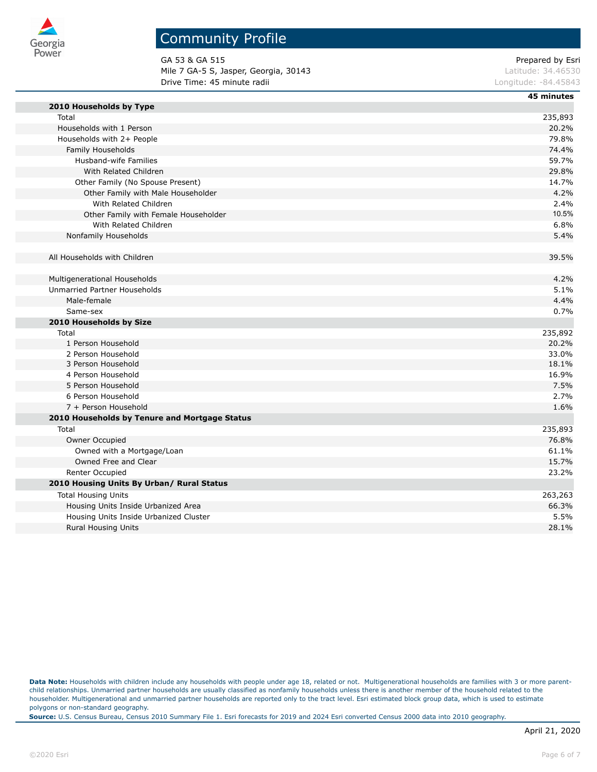

GA 53 & GA 515 Prepared by Esri Mile 7 GA-5 S, Jasper, Georgia, 30143 **Latitude: 34.46530** Latitude: 34.46530 **Drive Time: 45 minute radii Longitude: -84.45843** Longitude: -84.45843

|                                               | 45 minutes |
|-----------------------------------------------|------------|
| 2010 Households by Type                       |            |
| Total                                         | 235,893    |
| Households with 1 Person                      | 20.2%      |
| Households with 2+ People                     | 79.8%      |
| Family Households                             | 74.4%      |
| Husband-wife Families                         | 59.7%      |
| With Related Children                         | 29.8%      |
| Other Family (No Spouse Present)              | 14.7%      |
| Other Family with Male Householder            | 4.2%       |
| With Related Children                         | 2.4%       |
| Other Family with Female Householder          | 10.5%      |
| With Related Children                         | 6.8%       |
| Nonfamily Households                          | 5.4%       |
|                                               |            |
| All Households with Children                  | 39.5%      |
|                                               |            |
| Multigenerational Households                  | 4.2%       |
| Unmarried Partner Households                  | 5.1%       |
| Male-female                                   | 4.4%       |
| Same-sex                                      | 0.7%       |
| 2010 Households by Size                       |            |
| Total                                         | 235,892    |
| 1 Person Household                            | 20.2%      |
| 2 Person Household                            | 33.0%      |
| 3 Person Household                            | 18.1%      |
| 4 Person Household                            | 16.9%      |
| 5 Person Household                            | 7.5%       |
| 6 Person Household                            | 2.7%       |
| 7 + Person Household                          | 1.6%       |
| 2010 Households by Tenure and Mortgage Status |            |
| Total                                         | 235,893    |
| Owner Occupied                                | 76.8%      |
| Owned with a Mortgage/Loan                    | 61.1%      |
| Owned Free and Clear                          | 15.7%      |
| Renter Occupied                               | 23.2%      |
| 2010 Housing Units By Urban/ Rural Status     |            |
| <b>Total Housing Units</b>                    | 263,263    |
| Housing Units Inside Urbanized Area           | 66.3%      |
| Housing Units Inside Urbanized Cluster        | 5.5%       |
| <b>Rural Housing Units</b>                    | 28.1%      |
|                                               |            |

Data Note: Households with children include any households with people under age 18, related or not. Multigenerational households are families with 3 or more parentchild relationships. Unmarried partner households are usually classified as nonfamily households unless there is another member of the household related to the householder. Multigenerational and unmarried partner households are reported only to the tract level. Esri estimated block group data, which is used to estimate polygons or non-standard geography.